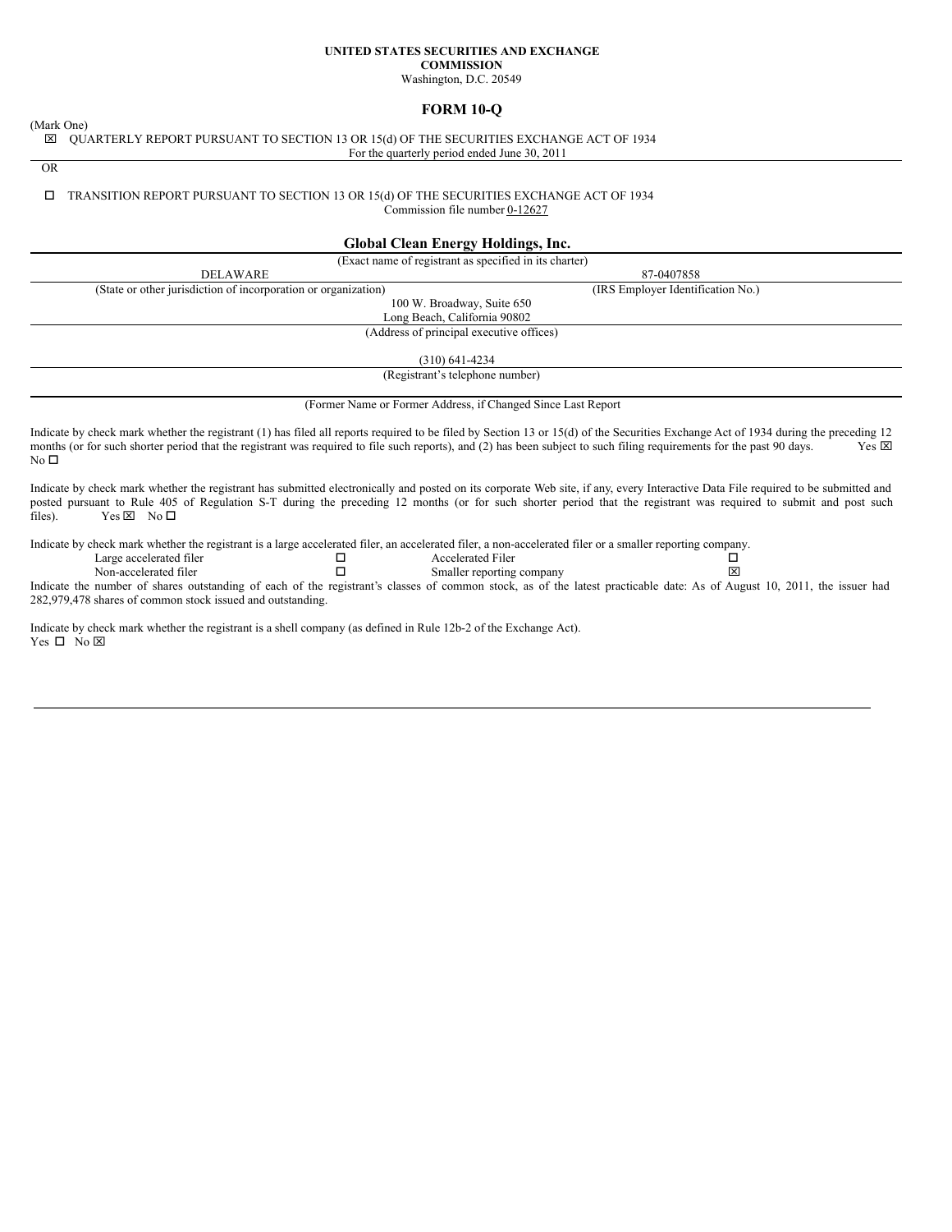# **UNITED STATES SECURITIES AND EXCHANGE COMMISSION**

Washington, D.C. 20549

## **FORM 10-Q**

(Mark One)

x QUARTERLY REPORT PURSUANT TO SECTION 13 OR 15(d) OF THE SECURITIES EXCHANGE ACT OF 1934 For the quarterly period ended June 30, 2011

OR

## $\Box$  TRANSITION REPORT PURSUANT TO SECTION 13 OR 15(d) OF THE SECURITIES EXCHANGE ACT OF 1934

Commission file number 0-12627

## **Global Clean Energy Holdings, Inc.**

| (Exact name of registrant as specified in its charter)                                                                                                                                                                                                                                                                                                                                                                                                                                                                    |                                   |  |
|---------------------------------------------------------------------------------------------------------------------------------------------------------------------------------------------------------------------------------------------------------------------------------------------------------------------------------------------------------------------------------------------------------------------------------------------------------------------------------------------------------------------------|-----------------------------------|--|
| <b>DELAWARE</b>                                                                                                                                                                                                                                                                                                                                                                                                                                                                                                           | 87-0407858                        |  |
| (State or other jurisdiction of incorporation or organization)                                                                                                                                                                                                                                                                                                                                                                                                                                                            | (IRS Employer Identification No.) |  |
| 100 W. Broadway, Suite 650                                                                                                                                                                                                                                                                                                                                                                                                                                                                                                |                                   |  |
| Long Beach, California 90802                                                                                                                                                                                                                                                                                                                                                                                                                                                                                              |                                   |  |
| (Address of principal executive offices)                                                                                                                                                                                                                                                                                                                                                                                                                                                                                  |                                   |  |
| $(310)$ 641-4234                                                                                                                                                                                                                                                                                                                                                                                                                                                                                                          |                                   |  |
| (Registrant's telephone number)                                                                                                                                                                                                                                                                                                                                                                                                                                                                                           |                                   |  |
| (Former Name or Former Address, if Changed Since Last Report                                                                                                                                                                                                                                                                                                                                                                                                                                                              |                                   |  |
| Indicate by check mark whether the registrant (1) has filed all reports required to be filed by Section 13 or 15(d) of the Securities Exchange Act of 1934 during the preceding 12<br>months (or for such shorter period that the registrant was required to file such reports), and (2) has been subject to such filing requirements for the past 90 days.<br>No $\square$                                                                                                                                               | $Yes \n  \boxtimes$               |  |
| Indicate by check mark whether the registrant has submitted electronically and posted on its corporate Web site, if any, every Interactive Data File required to be submitted and<br>posted pursuant to Rule 405 of Regulation S-T during the preceding 12 months (or for such shorter period that the registrant was required to submit and post such<br>$Yes \boxtimes No \Box$<br>files).                                                                                                                              |                                   |  |
| Indicate by check mark whether the registrant is a large accelerated filer, an accelerated filer, a non-accelerated filer or a smaller reporting company.<br><b>Accelerated Filer</b><br>Large accelerated filer<br>□<br>п<br>Non-accelerated filer<br>Smaller reporting company<br>Indicate the number of shares outstanding of each of the registrant's classes of common stock, as of the latest practicable date: As of August 10, 2011, the issuer had<br>282,979,478 shares of common stock issued and outstanding. | ⊔<br>×                            |  |
| Indicate by check mark whether the registrant is a shell company (as defined in Rule 12b-2 of the Exchange Act).<br>Yes □ No ⊠                                                                                                                                                                                                                                                                                                                                                                                            |                                   |  |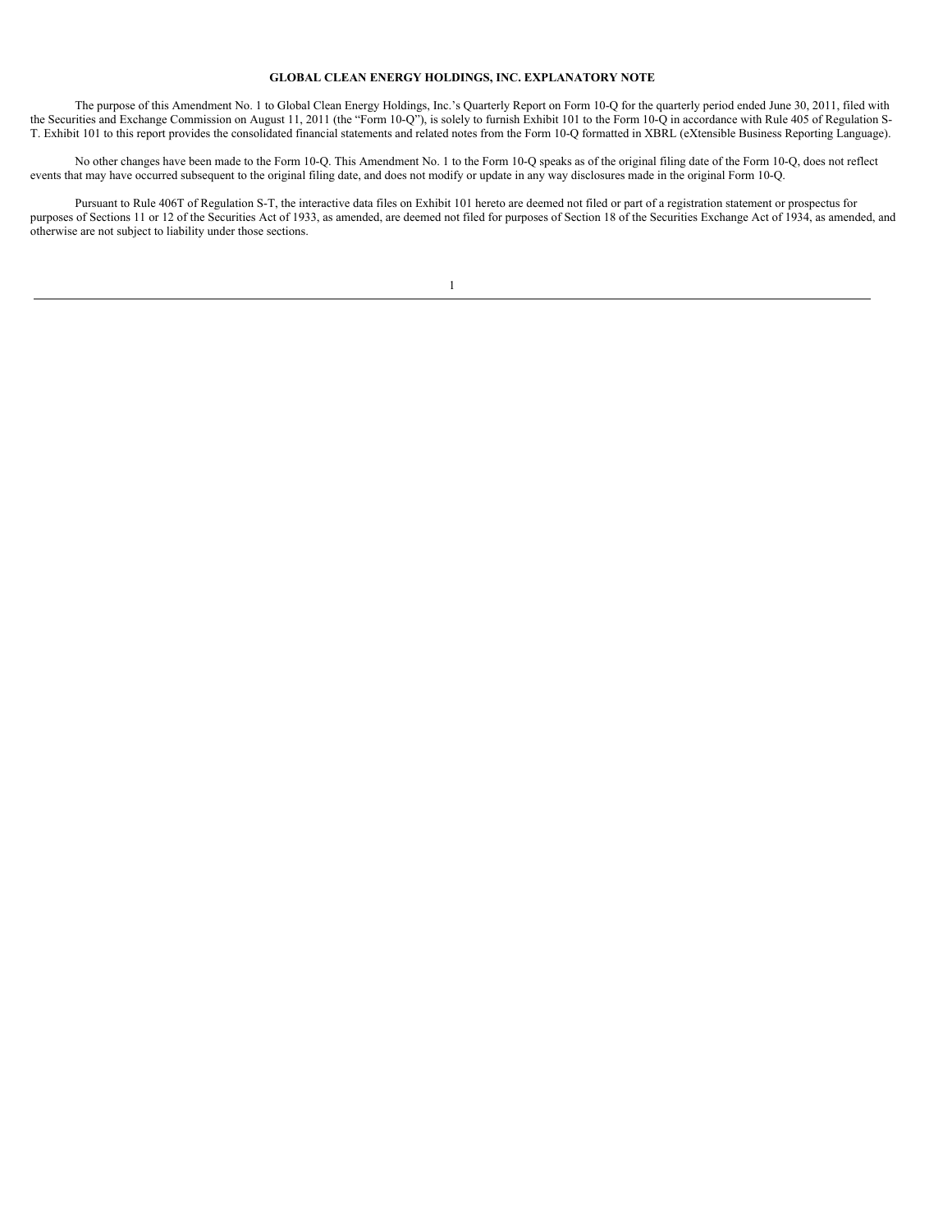#### **GLOBAL CLEAN ENERGY HOLDINGS, INC. EXPLANATORY NOTE**

The purpose of this Amendment No. 1 to Global Clean Energy Holdings, Inc.'s Quarterly Report on Form 10-Q for the quarterly period ended June 30, 2011, filed with the Securities and Exchange Commission on August 11, 2011 (the "Form 10-Q"), is solely to furnish Exhibit 101 to the Form 10-Q in accordance with Rule 405 of Regulation S-T. Exhibit 101 to this report provides the consolidated financial statements and related notes from the Form 10-Q formatted in XBRL (eXtensible Business Reporting Language).

No other changes have been made to the Form 10-Q. This Amendment No. 1 to the Form 10-Q speaks as of the original filing date of the Form 10-Q, does not reflect events that may have occurred subsequent to the original filing date, and does not modify or update in any way disclosures made in the original Form 10-Q.

Pursuant to Rule 406T of Regulation S-T, the interactive data files on Exhibit 101 hereto are deemed not filed or part of a registration statement or prospectus for purposes of Sections 11 or 12 of the Securities Act of 1933, as amended, are deemed not filed for purposes of Section 18 of the Securities Exchange Act of 1934, as amended, and otherwise are not subject to liability under those sections.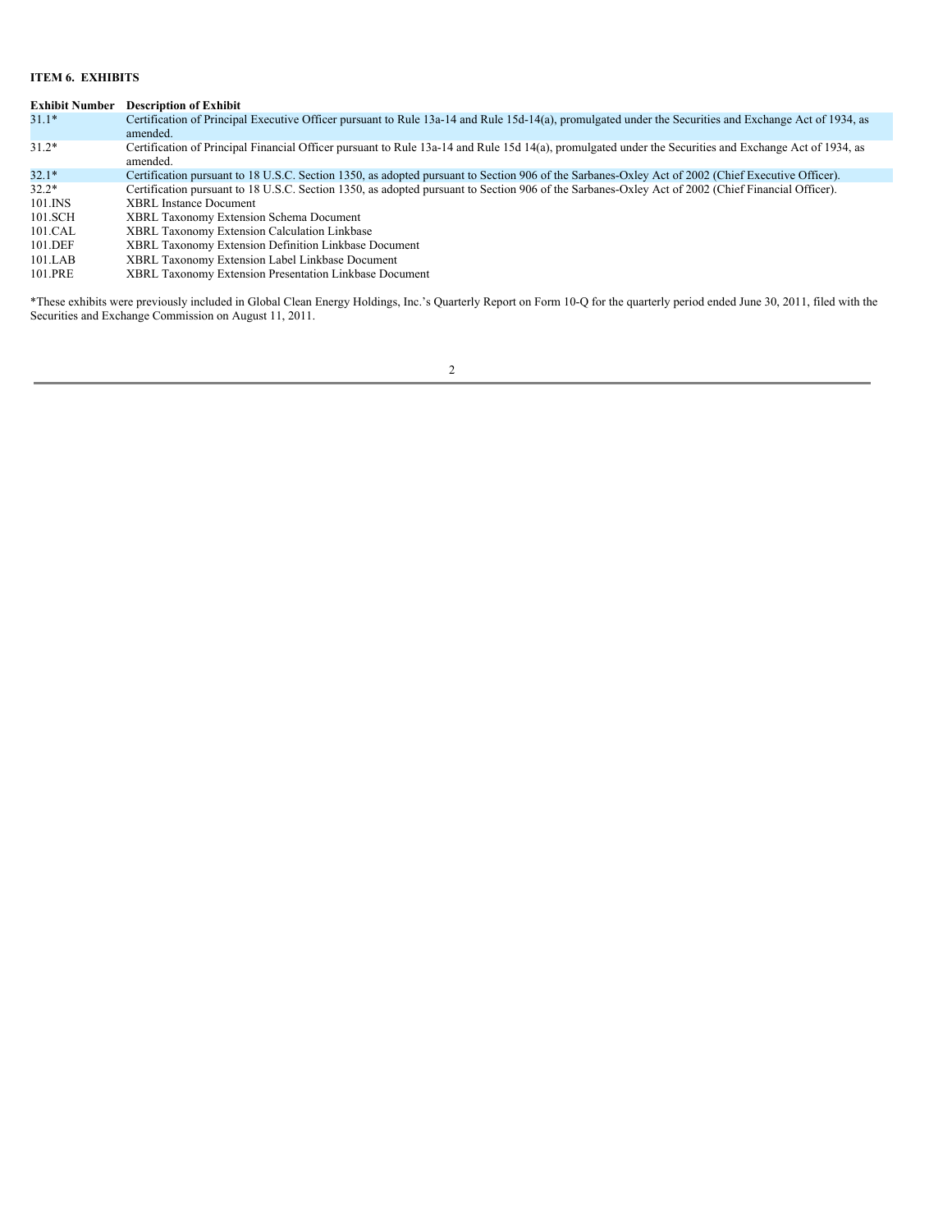## **ITEM 6. EXHIBITS**

| <b>Exhibit Number</b> | <b>Description of Exhibit</b>                                                                                                                                      |
|-----------------------|--------------------------------------------------------------------------------------------------------------------------------------------------------------------|
| $31.1*$               | Certification of Principal Executive Officer pursuant to Rule 13a-14 and Rule 15d-14(a), promulgated under the Securities and Exchange Act of 1934, as<br>amended. |
|                       |                                                                                                                                                                    |
| $31.2*$               | Certification of Principal Financial Officer pursuant to Rule 13a-14 and Rule 15d 14(a), promulgated under the Securities and Exchange Act of 1934, as<br>amended. |
| $32.1*$               | Certification pursuant to 18 U.S.C. Section 1350, as adopted pursuant to Section 906 of the Sarbanes-Oxley Act of 2002 (Chief Executive Officer).                  |
| $32.2*$               | Certification pursuant to 18 U.S.C. Section 1350, as adopted pursuant to Section 906 of the Sarbanes-Oxley Act of 2002 (Chief Financial Officer).                  |
| 101.INS               | <b>XBRL</b> Instance Document                                                                                                                                      |
| 101.SCH               | <b>XBRL Taxonomy Extension Schema Document</b>                                                                                                                     |
| 101.CAL               | <b>XBRL Taxonomy Extension Calculation Linkbase</b>                                                                                                                |
| 101.DEF               | XBRL Taxonomy Extension Definition Linkbase Document                                                                                                               |
| 101.LAB               | XBRL Taxonomy Extension Label Linkbase Document                                                                                                                    |
| 101.PRE               | XBRL Taxonomy Extension Presentation Linkbase Document                                                                                                             |

\*These exhibits were previously included in Global Clean Energy Holdings, Inc.'s Quarterly Report on Form 10-Q for the quarterly period ended June 30, 2011, filed with the Securities and Exchange Commission on August 11, 2011.

2